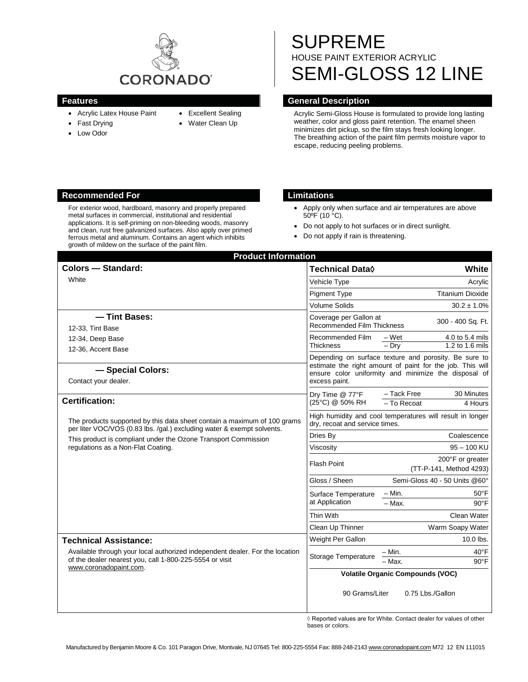

- Acrylic Latex House Paint
- Fast Drying
- Low Odor
- Excellent Sealing
- 
- Water Clean Up
- SUPREME HOUSE PAINT EXTERIOR ACRYLIC SEMI-GLOSS 12 LINE

## **Features General Description**

Acrylic Semi-Gloss House is formulated to provide long lasting weather, color and gloss paint retention. The enamel sheen minimizes dirt pickup, so the film stays fresh looking longer. The breathing action of the paint film permits moisture vapor to escape, reducing peeling problems.

## **Recommended For Limitations**

For exterior wood, hardboard, masonry and properly prepared metal surfaces in commercial, institutional and residential applications. It is self-priming on non-bleeding woods, masonry and clean, rust free galvanized surfaces. Also apply over primed ferrous metal and aluminum. Contains an agent which inhibits growth of mildew on the surface of the paint film.

- Apply only when surface and air temperatures are above 50ºF (10 °C).
- Do not apply to hot surfaces or in direct sunlight.
- Do not apply if rain is threatening.

| <b>Product Information</b><br><b>Colors - Standard:</b>                                                                                                                                                                                                    | Technical Data $\Diamond$                                                                                                                                                                   | White                                                      |
|------------------------------------------------------------------------------------------------------------------------------------------------------------------------------------------------------------------------------------------------------------|---------------------------------------------------------------------------------------------------------------------------------------------------------------------------------------------|------------------------------------------------------------|
|                                                                                                                                                                                                                                                            |                                                                                                                                                                                             |                                                            |
| White                                                                                                                                                                                                                                                      | Vehicle Type                                                                                                                                                                                | Acrylic                                                    |
|                                                                                                                                                                                                                                                            | <b>Pigment Type</b>                                                                                                                                                                         | <b>Titanium Dioxide</b>                                    |
|                                                                                                                                                                                                                                                            | <b>Volume Solids</b>                                                                                                                                                                        | $30.2 \pm 1.0\%$                                           |
| -Tint Bases:                                                                                                                                                                                                                                               | Coverage per Gallon at<br>300 - 400 Sq. Ft.<br><b>Recommended Film Thickness</b>                                                                                                            |                                                            |
| 12-33, Tint Base                                                                                                                                                                                                                                           |                                                                                                                                                                                             |                                                            |
| 12-34, Deep Base                                                                                                                                                                                                                                           | Recommended Film<br><b>Thickness</b>                                                                                                                                                        | 4.0 to 5.4 mils<br>– Wet<br>$-$ Dry<br>$1.2$ to $1.6$ mils |
| 12-36, Accent Base                                                                                                                                                                                                                                         |                                                                                                                                                                                             |                                                            |
| - Special Colors:<br>Contact your dealer.                                                                                                                                                                                                                  | Depending on surface texture and porosity. Be sure to<br>estimate the right amount of paint for the job. This will<br>ensure color uniformity and minimize the disposal of<br>excess paint. |                                                            |
| <b>Certification:</b>                                                                                                                                                                                                                                      | Dry Time @ 77°F<br>(25°C) @ 50% RH                                                                                                                                                          | - Tack Free<br>30 Minutes<br>- To Recoat<br>4 Hours        |
| The products supported by this data sheet contain a maximum of 100 grams<br>per liter VOC/VOS (0.83 lbs. /qal.) excluding water & exempt solvents.<br>This product is compliant under the Ozone Transport Commission<br>regulations as a Non-Flat Coating. | High humidity and cool temperatures will result in longer<br>dry, recoat and service times.                                                                                                 |                                                            |
|                                                                                                                                                                                                                                                            | Dries By                                                                                                                                                                                    | Coalescence                                                |
|                                                                                                                                                                                                                                                            | Viscosity                                                                                                                                                                                   | $95 - 100$ KU                                              |
|                                                                                                                                                                                                                                                            | <b>Flash Point</b>                                                                                                                                                                          | 200°F or greater<br>(TT-P-141, Method 4293)                |
|                                                                                                                                                                                                                                                            | Gloss / Sheen                                                                                                                                                                               | Semi-Gloss 40 - 50 Units @60°                              |
|                                                                                                                                                                                                                                                            | Surface Temperature<br>at Application                                                                                                                                                       | $-$ Min.<br>$50^{\circ}$ F                                 |
|                                                                                                                                                                                                                                                            |                                                                                                                                                                                             | $-$ Max.<br>$90^{\circ}$ F                                 |
|                                                                                                                                                                                                                                                            | Thin With                                                                                                                                                                                   | Clean Water                                                |
|                                                                                                                                                                                                                                                            | Clean Up Thinner                                                                                                                                                                            | Warm Soapy Water                                           |
| <b>Technical Assistance:</b>                                                                                                                                                                                                                               | Weight Per Gallon                                                                                                                                                                           | 10.0 lbs.                                                  |
| Available through your local authorized independent dealer. For the location<br>of the dealer nearest you, call 1-800-225-5554 or visit<br>www.coronadopaint.com.                                                                                          | Storage Temperature                                                                                                                                                                         | - Min.<br>$40^{\circ}$ F<br>- Max.<br>$90^{\circ}$ F       |
|                                                                                                                                                                                                                                                            | <b>Volatile Organic Compounds (VOC)</b>                                                                                                                                                     |                                                            |
|                                                                                                                                                                                                                                                            | 90 Grams/Liter<br>0.75 Lbs./Gallon                                                                                                                                                          |                                                            |

 $\Diamond$  Reported values are for White. Contact dealer for values of other bases or colors.